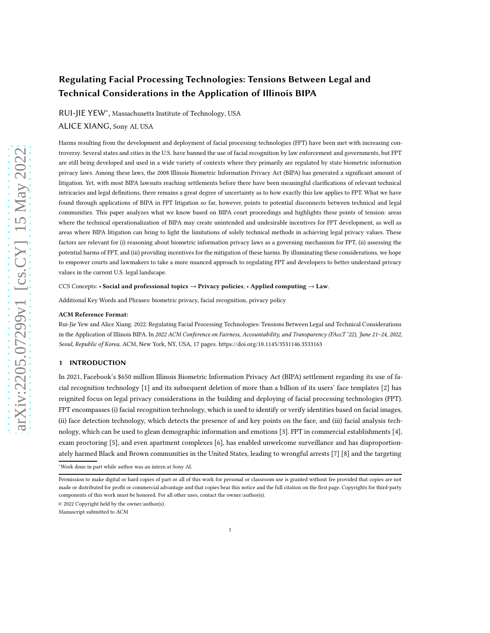# Regulating Facial Processing Technologies: Tensions Between Legal and Technical Considerations in the Application of Illinois BIPA

RUI-JIE YEW<sup>∗</sup> , Massachusetts Institute of Technology, USA

ALICE XIANG, Sony AI, USA

Harms resulting from the development and deployment of facial processing technologies (FPT) have been met with increasing controversy. Several states and cities in the U.S. have banned the use of facial recognition by law enforcement and governments, but FPT are still being developed and used in a wide variety of contexts where they primarily are regulated by state biometric information privacy laws. Among these laws, the 2008 Illinois Biometric Information Privacy Act (BIPA) has generated a significant amount of litigation. Yet, with most BIPA lawsuits reaching settlements before there have been meaningful clarifications of relevant technical intricacies and legal definitions, there remains a great degree of uncertainty as to how exactly this law applies to FPT. What we have found through applications of BIPA in FPT litigation so far, however, points to potential disconnects between technical and legal communities. This paper analyzes what we know based on BIPA court proceedings and highlights these points of tension: areas where the technical operationalization of BIPA may create unintended and undesirable incentives for FPT development, as well as areas where BIPA litigation can bring to light the limitations of solely technical methods in achieving legal privacy values. These factors are relevant for (i) reasoning about biometric information privacy laws as a governing mechanism for FPT, (ii) assessing the potential harms of FPT, and (iii) providing incentives for the mitigation of these harms. By illuminating these considerations, we hope to empower courts and lawmakers to take a more nuanced approach to regulating FPT and developers to better understand privacy values in the current U.S. legal landscape.

CCS Concepts: • Social and professional topics  $\rightarrow$  Privacy policies; • Applied computing  $\rightarrow$  Law.

Additional Key Words and Phrases: biometric privacy, facial recognition, privacy policy

#### ACM Reference Format:

Rui-Jie Yew and Alice Xiang. 2022. Regulating Facial Processing Technologies: Tensions Between Legal and Technical Considerations in the Application of Illinois BIPA. In 2022 ACM Conference on Fairness, Accountability, and Transparency (FAccT '22), June 21-24, 2022, Seoul, Republic of Korea. ACM, New York, NY, USA, [17](#page-16-0) pages.<https://doi.org/10.1145/3531146.3533163>

# 1 INTRODUCTION

In 2021, Facebook's \$650 million Illinois Biometric Information Privacy Act (BIPA) settlement regarding its use of facial recognition technology [\[1](#page-13-0)] and its subsequent deletion of more than a billion of its users' face templates [\[2\]](#page-13-1) has reignited focus on legal privacy considerations in the building and deploying of facial processing technologies (FPT). FPT encompasses (i) facial recognition technology, which is used to identify or verify identities based on facial images, (ii) face detection technology, which detects the presence of and key points on the face, and (iii) facial analysis technology, which can be used to glean demographic information and emotions [\[3\]](#page-13-2). FPT in commercial establishments [\[4\]](#page-13-3), exam proctoring [\[5\]](#page-13-4), and even apartment complexes [\[6](#page-13-5)], has enabled unwelcome surveillance and has disproportionately harmed Black and Brown communities in the United States, leading to wrongful arrests [\[7](#page-13-6)] [\[8\]](#page-13-7) and the targeting

Manuscript submitted to ACM

<sup>∗</sup>Work done in part while author was an intern at Sony AI.

Permission to make digital or hard copies of part or all of this work for personal or classroom use is granted without fee provided that copies are not made or distributed for profit or commercial advantage and that copies bear this notice and the full citation on the first page. Copyrights for third-party components of this work must be honored. For all other uses, contact the owner/author(s).

<sup>© 2022</sup> Copyright held by the owner/author(s).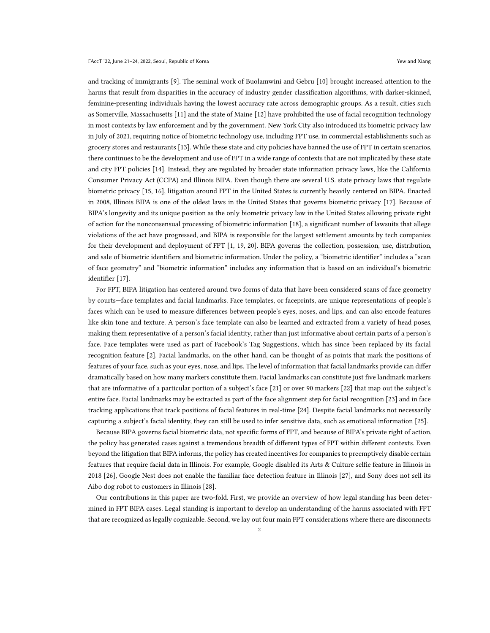and tracking of immigrants [\[9\]](#page-13-8). The seminal work of Buolamwini and Gebru [\[10\]](#page-13-9) brought increased attention to the harms that result from disparities in the accuracy of industry gender classification algorithms, with darker-skinned, feminine-presenting individuals having the lowest accuracy rate across demographic groups. As a result, cities such as Somerville, Massachusetts [\[11](#page-13-10)] and the state of Maine [\[12\]](#page-13-11) have prohibited the use of facial recognition technology in most contexts by law enforcement and by the government. New York City also introduced its biometric privacy law in July of 2021, requiring notice of biometric technology use, including FPT use, in commercial establishments such as grocery stores and restaurants [\[13\]](#page-13-12). While these state and city policies have banned the use of FPT in certain scenarios, there continues to be the development and use of FPT in a wide range of contexts that are not implicated by these state and city FPT policies [\[14\]](#page-13-13). Instead, they are regulated by broader state information privacy laws, like the California Consumer Privacy Act (CCPA) and Illinois BIPA. Even though there are several U.S. state privacy laws that regulate biometric privacy [\[15](#page-13-14), [16\]](#page-14-0), litigation around FPT in the United States is currently heavily centered on BIPA. Enacted in 2008, Illinois BIPA is one of the oldest laws in the United States that governs biometric privacy [\[17\]](#page-14-1). Because of BIPA's longevity and its unique position as the only biometric privacy law in the United States allowing private right of action for the nonconsensual processing of biometric information [\[18\]](#page-14-2), a significant number of lawsuits that allege violations of the act have progressed, and BIPA is responsible for the largest settlement amounts by tech companies for their development and deployment of FPT [\[1](#page-13-0), [19,](#page-14-3) [20\]](#page-14-4). BIPA governs the collection, possession, use, distribution, and sale of biometric identifiers and biometric information. Under the policy, a "biometric identifier" includes a "scan of face geometry" and "biometric information" includes any information that is based on an individual's biometric identifier [\[17\]](#page-14-1).

For FPT, BIPA litigation has centered around two forms of data that have been considered scans of face geometry by courts—face templates and facial landmarks. Face templates, or faceprints, are unique representations of people's faces which can be used to measure differences between people's eyes, noses, and lips, and can also encode features like skin tone and texture. A person's face template can also be learned and extracted from a variety of head poses, making them representative of a person's facial identity, rather than just informative about certain parts of a person's face. Face templates were used as part of Facebook's Tag Suggestions, which has since been replaced by its facial recognition feature [\[2\]](#page-13-1). Facial landmarks, on the other hand, can be thought of as points that mark the positions of features of your face, such as your eyes, nose, and lips. The level of information that facial landmarks provide can differ dramatically based on how many markers constitute them. Facial landmarks can constitute just five landmark markers that are informative of a particular portion of a subject's face [\[21\]](#page-14-5) or over 90 markers [\[22\]](#page-14-6) that map out the subject's entire face. Facial landmarks may be extracted as part of the face alignment step for facial recognition [\[23\]](#page-14-7) and in face tracking applications that track positions of facial features in real-time [\[24](#page-14-8)]. Despite facial landmarks not necessarily capturing a subject's facial identity, they can still be used to infer sensitive data, such as emotional information [\[25\]](#page-14-9).

Because BIPA governs facial biometric data, not specific forms of FPT, and because of BIPA's private right of action, the policy has generated cases against a tremendous breadth of different types of FPT within different contexts. Even beyond the litigation that BIPA informs, the policy has created incentives for companies to preemptively disable certain features that require facial data in Illinois. For example, Google disabled its Arts & Culture selfie feature in Illinois in 2018 [\[26](#page-14-10)], Google Nest does not enable the familiar face detection feature in Illinois [\[27\]](#page-14-11), and Sony does not sell its Aibo dog robot to customers in Illinois [\[28](#page-14-12)].

Our contributions in this paper are two-fold. First, we provide an overview of how legal standing has been determined in FPT BIPA cases. Legal standing is important to develop an understanding of the harms associated with FPT that are recognized as legally cognizable. Second, we lay out four main FPT considerations where there are disconnects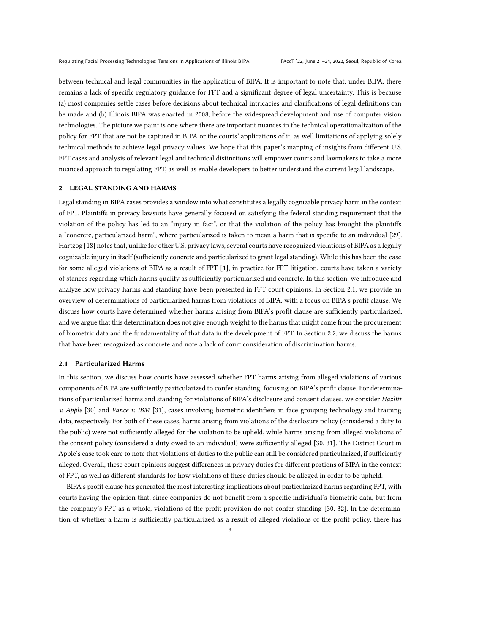between technical and legal communities in the application of BIPA. It is important to note that, under BIPA, there remains a lack of specific regulatory guidance for FPT and a significant degree of legal uncertainty. This is because (a) most companies settle cases before decisions about technical intricacies and clarifications of legal definitions can be made and (b) Illinois BIPA was enacted in 2008, before the widespread development and use of computer vision technologies. The picture we paint is one where there are important nuances in the technical operationalization of the policy for FPT that are not be captured in BIPA or the courts' applications of it, as well limitations of applying solely technical methods to achieve legal privacy values. We hope that this paper's mapping of insights from different U.S. FPT cases and analysis of relevant legal and technical distinctions will empower courts and lawmakers to take a more nuanced approach to regulating FPT, as well as enable developers to better understand the current legal landscape.

# 2 LEGAL STANDING AND HARMS

Legal standing in BIPA cases provides a window into what constitutes a legally cognizable privacy harm in the context of FPT. Plaintiffs in privacy lawsuits have generally focused on satisfying the federal standing requirement that the violation of the policy has led to an "injury in fact", or that the violation of the policy has brought the plaintiffs a "concrete, particularized harm", where particularized is taken to mean a harm that is specific to an individual [\[29\]](#page-14-13). Hartzog [\[18](#page-14-2)] notes that, unlike for other U.S. privacy laws, several courts have recognized violations of BIPA as a legally cognizable injury in itself (sufficiently concrete and particularized to grant legal standing). While this has been the case for some alleged violations of BIPA as a result of FPT [\[1\]](#page-13-0), in practice for FPT litigation, courts have taken a variety of stances regarding which harms qualify as sufficiently particularized and concrete. In this section, we introduce and analyze how privacy harms and standing have been presented in FPT court opinions. In Section [2.1,](#page-2-0) we provide an overview of determinations of particularized harms from violations of BIPA, with a focus on BIPA's profit clause. We discuss how courts have determined whether harms arising from BIPA's profit clause are sufficiently particularized, and we argue that this determination does not give enough weight to the harms that might come from the procurement of biometric data and the fundamentality of that data in the development of FPT. In Section [2.2,](#page-4-0) we discuss the harms that have been recognized as concrete and note a lack of court consideration of discrimination harms.

#### <span id="page-2-0"></span>2.1 Particularized Harms

In this section, we discuss how courts have assessed whether FPT harms arising from alleged violations of various components of BIPA are sufficiently particularized to confer standing, focusing on BIPA's profit clause. For determinations of particularized harms and standing for violations of BIPA's disclosure and consent clauses, we consider Hazlitt v. Apple [\[30](#page-14-14)] and Vance v. IBM [\[31](#page-14-15)], cases involving biometric identifiers in face grouping technology and training data, respectively. For both of these cases, harms arising from violations of the disclosure policy (considered a duty to the public) were not sufficiently alleged for the violation to be upheld, while harms arising from alleged violations of the consent policy (considered a duty owed to an individual) were sufficiently alleged [\[30,](#page-14-14) [31](#page-14-15)]. The District Court in Apple's case took care to note that violations of duties to the public can still be considered particularized, if sufficiently alleged. Overall, these court opinions suggest differences in privacy duties for different portions of BIPA in the context of FPT, as well as different standards for how violations of these duties should be alleged in order to be upheld.

BIPA's profit clause has generated the most interesting implications about particularized harms regarding FPT, with courts having the opinion that, since companies do not benefit from a specific individual's biometric data, but from the company's FPT as a whole, violations of the profit provision do not confer standing [\[30,](#page-14-14) [32\]](#page-14-16). In the determination of whether a harm is sufficiently particularized as a result of alleged violations of the profit policy, there has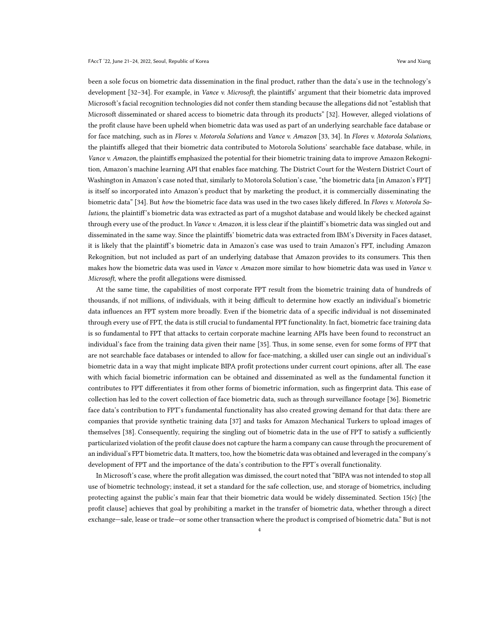been a sole focus on biometric data dissemination in the final product, rather than the data's use in the technology's development [\[32](#page-14-16)-34]. For example, in Vance v. Microsoft, the plaintiffs' argument that their biometric data improved Microsoft's facial recognition technologies did not confer them standing because the allegations did not "establish that Microsoft disseminated or shared access to biometric data through its products" [\[32](#page-14-16)]. However, alleged violations of the profit clause have been upheld when biometric data was used as part of an underlying searchable face database or for face matching, such as in Flores v. Motorola Solutions and Vance v. Amazon [\[33,](#page-14-18) [34\]](#page-14-17). In Flores v. Motorola Solutions, the plaintiffs alleged that their biometric data contributed to Motorola Solutions' searchable face database, while, in Vance v. Amazon, the plaintiffs emphasized the potential for their biometric training data to improve Amazon Rekognition, Amazon's machine learning API that enables face matching. The District Court for the Western District Court of Washington in Amazon's case noted that, similarly to Motorola Solution's case, "the biometric data [in Amazon's FPT] is itself so incorporated into Amazon's product that by marketing the product, it is commercially disseminating the biometric data" [\[34\]](#page-14-17). But how the biometric face data was used in the two cases likely differed. In Flores v. Motorola Solutions, the plaintiff's biometric data was extracted as part of a mugshot database and would likely be checked against through every use of the product. In Vance v. Amazon, it is less clear if the plaintiff's biometric data was singled out and disseminated in the same way. Since the plaintiffs' biometric data was extracted from IBM's Diversity in Faces dataset, it is likely that the plaintiff's biometric data in Amazon's case was used to train Amazon's FPT, including Amazon Rekognition, but not included as part of an underlying database that Amazon provides to its consumers. This then makes how the biometric data was used in Vance v. Amazon more similar to how biometric data was used in Vance v. Microsoft, where the profit allegations were dismissed.

At the same time, the capabilities of most corporate FPT result from the biometric training data of hundreds of thousands, if not millions, of individuals, with it being difficult to determine how exactly an individual's biometric data influences an FPT system more broadly. Even if the biometric data of a specific individual is not disseminated through every use of FPT, the data is still crucial to fundamental FPT functionality. In fact, biometric face training data is so fundamental to FPT that attacks to certain corporate machine learning APIs have been found to reconstruct an individual's face from the training data given their name [\[35](#page-14-19)]. Thus, in some sense, even for some forms of FPT that are not searchable face databases or intended to allow for face-matching, a skilled user can single out an individual's biometric data in a way that might implicate BIPA profit protections under current court opinions, after all. The ease with which facial biometric information can be obtained and disseminated as well as the fundamental function it contributes to FPT differentiates it from other forms of biometric information, such as fingerprint data. This ease of collection has led to the covert collection of face biometric data, such as through surveillance footage [\[36](#page-14-20)]. Biometric face data's contribution to FPT's fundamental functionality has also created growing demand for that data: there are companies that provide synthetic training data [\[37\]](#page-14-21) and tasks for Amazon Mechanical Turkers to upload images of themselves [\[38\]](#page-14-22). Consequently, requiring the singling out of biometric data in the use of FPT to satisfy a sufficiently particularized violation of the profit clause does not capture the harm a company can cause through the procurement of an individual's FPT biometric data. It matters, too, how the biometric data was obtained and leveraged in the company's development of FPT and the importance of the data's contribution to the FPT's overall functionality.

In Microsoft's case, where the profit allegation was dimissed, the court noted that "BIPA was not intended to stop all use of biometric technology; instead, it set a standard for the safe collection, use, and storage of biometrics, including protecting against the public's main fear that their biometric data would be widely disseminated. Section 15(c) [the profit clause] achieves that goal by prohibiting a market in the transfer of biometric data, whether through a direct exchange—sale, lease or trade—or some other transaction where the product is comprised of biometric data." But is not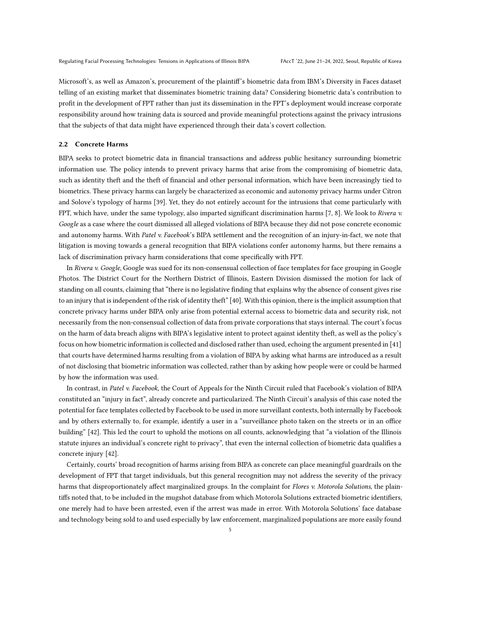Microsoft's, as well as Amazon's, procurement of the plaintiff's biometric data from IBM's Diversity in Faces dataset telling of an existing market that disseminates biometric training data? Considering biometric data's contribution to profit in the development of FPT rather than just its dissemination in the FPT's deployment would increase corporate responsibility around how training data is sourced and provide meaningful protections against the privacy intrusions that the subjects of that data might have experienced through their data's covert collection.

### <span id="page-4-0"></span>2.2 Concrete Harms

BIPA seeks to protect biometric data in financial transactions and address public hesitancy surrounding biometric information use. The policy intends to prevent privacy harms that arise from the compromising of biometric data, such as identity theft and the theft of financial and other personal information, which have been increasingly tied to biometrics. These privacy harms can largely be characterized as economic and autonomy privacy harms under Citron and Solove's typology of harms [\[39\]](#page-14-23). Yet, they do not entirely account for the intrusions that come particularly with FPT, which have, under the same typology, also imparted significant discrimination harms [\[7](#page-13-6), [8\]](#page-13-7). We look to Rivera v. Google as a case where the court dismissed all alleged violations of BIPA because they did not pose concrete economic and autonomy harms. With Patel v. Facebook's BIPA settlement and the recognition of an injury-in-fact, we note that litigation is moving towards a general recognition that BIPA violations confer autonomy harms, but there remains a lack of discrimination privacy harm considerations that come specifically with FPT.

In Rivera v. Google, Google was sued for its non-consensual collection of face templates for face grouping in Google Photos. The District Court for the Northern District of Illinois, Eastern Division dismissed the motion for lack of standing on all counts, claiming that "there is no legislative finding that explains why the absence of consent gives rise to an injury that is independent of the risk of identity theft" [\[40\]](#page-14-24). With this opinion, there is the implicit assumption that concrete privacy harms under BIPA only arise from potential external access to biometric data and security risk, not necessarily from the non-consensual collection of data from private corporations that stays internal. The court's focus on the harm of data breach aligns with BIPA's legislative intent to protect against identity theft, as well as the policy's focus on how biometric information is collected and disclosed rather than used, echoing the argument presented in [\[41\]](#page-14-25) that courts have determined harms resulting from a violation of BIPA by asking what harms are introduced as a result of not disclosing that biometric information was collected, rather than by asking how people were or could be harmed by how the information was used.

In contrast, in Patel v. Facebook, the Court of Appeals for the Ninth Circuit ruled that Facebook's violation of BIPA constituted an "injury in fact", already concrete and particularized. The Ninth Circuit's analysis of this case noted the potential for face templates collected by Facebook to be used in more surveillant contexts, both internally by Facebook and by others externally to, for example, identify a user in a "surveillance photo taken on the streets or in an office building" [\[42](#page-14-26)]. This led the court to uphold the motions on all counts, acknowledging that "a violation of the Illinois statute injures an individual's concrete right to privacy", that even the internal collection of biometric data qualifies a concrete injury [\[42](#page-14-26)].

Certainly, courts' broad recognition of harms arising from BIPA as concrete can place meaningful guardrails on the development of FPT that target individuals, but this general recognition may not address the severity of the privacy harms that disproportionately affect marginalized groups. In the complaint for Flores v. Motorola Solutions, the plaintiffs noted that, to be included in the mugshot database from which Motorola Solutions extracted biometric identifiers, one merely had to have been arrested, even if the arrest was made in error. With Motorola Solutions' face database and technology being sold to and used especially by law enforcement, marginalized populations are more easily found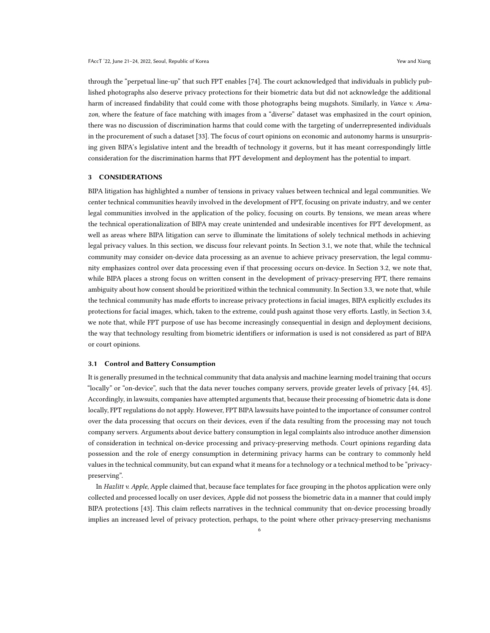through the "perpetual line-up" that such FPT enables [\[74\]](#page-15-0). The court acknowledged that individuals in publicly published photographs also deserve privacy protections for their biometric data but did not acknowledge the additional harm of increased findability that could come with those photographs being mugshots. Similarly, in Vance v. Amazon, where the feature of face matching with images from a "diverse" dataset was emphasized in the court opinion, there was no discussion of discrimination harms that could come with the targeting of underrepresented individuals in the procurement of such a dataset [\[33](#page-14-18)]. The focus of court opinions on economic and autonomy harms is unsurprising given BIPA's legislative intent and the breadth of technology it governs, but it has meant correspondingly little consideration for the discrimination harms that FPT development and deployment has the potential to impart.

# 3 CONSIDERATIONS

BIPA litigation has highlighted a number of tensions in privacy values between technical and legal communities. We center technical communities heavily involved in the development of FPT, focusing on private industry, and we center legal communities involved in the application of the policy, focusing on courts. By tensions, we mean areas where the technical operationalization of BIPA may create unintended and undesirable incentives for FPT development, as well as areas where BIPA litigation can serve to illuminate the limitations of solely technical methods in achieving legal privacy values. In this section, we discuss four relevant points. In Section [3.1,](#page-5-0) we note that, while the technical community may consider on-device data processing as an avenue to achieve privacy preservation, the legal community emphasizes control over data processing even if that processing occurs on-device. In Section [3.2,](#page-7-0) we note that, while BIPA places a strong focus on written consent in the development of privacy-preserving FPT, there remains ambiguity about how consent should be prioritized within the technical community. In Section [3.3,](#page-9-0) we note that, while the technical community has made efforts to increase privacy protections in facial images, BIPA explicitly excludes its protections for facial images, which, taken to the extreme, could push against those very efforts. Lastly, in Section [3.4,](#page-11-0) we note that, while FPT purpose of use has become increasingly consequential in design and deployment decisions, the way that technology resulting from biometric identifiers or information is used is not considered as part of BIPA or court opinions.

#### <span id="page-5-0"></span>3.1 Control and Battery Consumption

It is generally presumed in the technical community that data analysis and machine learning model training that occurs "locally" or "on-device", such that the data never touches company servers, provide greater levels of privacy [\[44,](#page-14-27) [45\]](#page-14-28). Accordingly, in lawsuits, companies have attempted arguments that, because their processing of biometric data is done locally, FPT regulations do not apply. However, FPT BIPA lawsuits have pointed to the importance of consumer control over the data processing that occurs on their devices, even if the data resulting from the processing may not touch company servers. Arguments about device battery consumption in legal complaints also introduce another dimension of consideration in technical on-device processing and privacy-preserving methods. Court opinions regarding data possession and the role of energy consumption in determining privacy harms can be contrary to commonly held values in the technical community, but can expand what it means for a technology or a technical method to be "privacypreserving".

In Hazlitt v. Apple, Apple claimed that, because face templates for face grouping in the photos application were only collected and processed locally on user devices, Apple did not possess the biometric data in a manner that could imply BIPA protections [\[43\]](#page-14-29). This claim reflects narratives in the technical community that on-device processing broadly implies an increased level of privacy protection, perhaps, to the point where other privacy-preserving mechanisms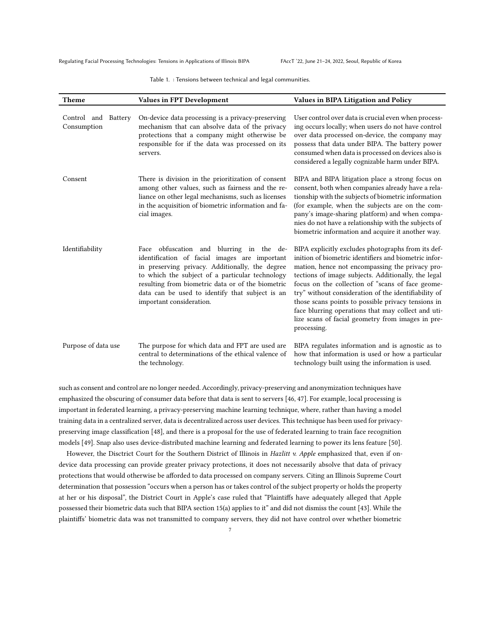Regulating Facial Processing Technologies: Tensions in Applications of Illinois BIPA FAccT '22, June 21-24, 2022, Seoul, Republic of Korea

Table 1. : Tensions between technical and legal communities.

| Theme                                 | Values in FPT Development                                                                                                                                                                                                                                                                                                           | Values in BIPA Litigation and Policy                                                                                                                                                                                                                                                                                                                                                                                                                                                                              |
|---------------------------------------|-------------------------------------------------------------------------------------------------------------------------------------------------------------------------------------------------------------------------------------------------------------------------------------------------------------------------------------|-------------------------------------------------------------------------------------------------------------------------------------------------------------------------------------------------------------------------------------------------------------------------------------------------------------------------------------------------------------------------------------------------------------------------------------------------------------------------------------------------------------------|
| Control and<br>Battery<br>Consumption | On-device data processing is a privacy-preserving<br>mechanism that can absolve data of the privacy<br>protections that a company might otherwise be<br>responsible for if the data was processed on its<br>servers.                                                                                                                | User control over data is crucial even when process-<br>ing occurs locally; when users do not have control<br>over data processed on-device, the company may<br>possess that data under BIPA. The battery power<br>consumed when data is processed on devices also is<br>considered a legally cognizable harm under BIPA.                                                                                                                                                                                         |
| Consent                               | There is division in the prioritization of consent<br>among other values, such as fairness and the re-<br>liance on other legal mechanisms, such as licenses<br>in the acquisition of biometric information and fa-<br>cial images.                                                                                                 | BIPA and BIPA litigation place a strong focus on<br>consent, both when companies already have a rela-<br>tionship with the subjects of biometric information<br>(for example, when the subjects are on the com-<br>pany's image-sharing platform) and when compa-<br>nies do not have a relationship with the subjects of<br>biometric information and acquire it another way.                                                                                                                                    |
| Identifiability                       | Face obfuscation and blurring in the de-<br>identification of facial images are important<br>in preserving privacy. Additionally, the degree<br>to which the subject of a particular technology<br>resulting from biometric data or of the biometric<br>data can be used to identify that subject is an<br>important consideration. | BIPA explicitly excludes photographs from its def-<br>inition of biometric identifiers and biometric infor-<br>mation, hence not encompassing the privacy pro-<br>tections of image subjects. Additionally, the legal<br>focus on the collection of "scans of face geome-<br>try" without consideration of the identifiability of<br>those scans points to possible privacy tensions in<br>face blurring operations that may collect and uti-<br>lize scans of facial geometry from images in pre-<br>processing. |
| Purpose of data use                   | The purpose for which data and FPT are used are<br>central to determinations of the ethical valence of<br>the technology.                                                                                                                                                                                                           | BIPA regulates information and is agnostic as to<br>how that information is used or how a particular<br>technology built using the information is used.                                                                                                                                                                                                                                                                                                                                                           |

such as consent and control are no longer needed. Accordingly, privacy-preserving and anonymization techniques have emphasized the obscuring of consumer data before that data is sent to servers [\[46,](#page-14-30) [47](#page-14-31)]. For example, local processing is important in federated learning, a privacy-preserving machine learning technique, where, rather than having a model training data in a centralized server, data is decentralized across user devices. This technique has been used for privacypreserving image classification [\[48](#page-15-1)], and there is a proposal for the use of federated learning to train face recognition models [\[49](#page-15-2)]. Snap also uses device-distributed machine learning and federated learning to power its lens feature [\[50](#page-15-3)].

However, the Disctrict Court for the Southern District of Illinois in Hazlitt v. Apple emphasized that, even if ondevice data processing can provide greater privacy protections, it does not necessarily absolve that data of privacy protections that would otherwise be afforded to data processed on company servers. Citing an Illinois Supreme Court determination that possession "occurs when a person has or takes control of the subject property or holds the property at her or his disposal", the District Court in Apple's case ruled that "Plaintiffs have adequately alleged that Apple possessed their biometric data such that BIPA section 15(a) applies to it" and did not dismiss the count [\[43\]](#page-14-29). While the plaintiffs' biometric data was not transmitted to company servers, they did not have control over whether biometric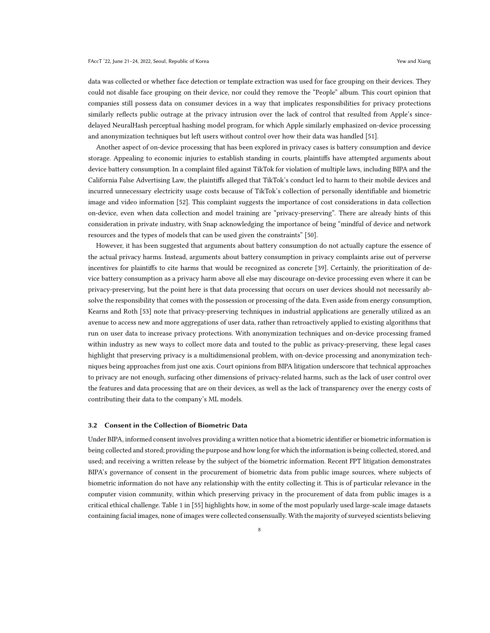data was collected or whether face detection or template extraction was used for face grouping on their devices. They could not disable face grouping on their device, nor could they remove the "People" album. This court opinion that companies still possess data on consumer devices in a way that implicates responsibilities for privacy protections similarly reflects public outrage at the privacy intrusion over the lack of control that resulted from Apple's sincedelayed NeuralHash perceptual hashing model program, for which Apple similarly emphasized on-device processing and anonymization techniques but left users without control over how their data was handled [\[51](#page-15-4)].

Another aspect of on-device processing that has been explored in privacy cases is battery consumption and device storage. Appealing to economic injuries to establish standing in courts, plaintiffs have attempted arguments about device battery consumption. In a complaint filed against TikTok for violation of multiple laws, including BIPA and the California False Advertising Law, the plaintiffs alleged that TikTok's conduct led to harm to their mobile devices and incurred unnecessary electricity usage costs because of TikTok's collection of personally identifiable and biometric image and video information [\[52](#page-15-5)]. This complaint suggests the importance of cost considerations in data collection on-device, even when data collection and model training are "privacy-preserving". There are already hints of this consideration in private industry, with Snap acknowledging the importance of being "mindful of device and network resources and the types of models that can be used given the constraints" [\[50](#page-15-3)].

However, it has been suggested that arguments about battery consumption do not actually capture the essence of the actual privacy harms. Instead, arguments about battery consumption in privacy complaints arise out of perverse incentives for plaintiffs to cite harms that would be recognized as concrete [\[39](#page-14-23)]. Certainly, the prioritization of device battery consumption as a privacy harm above all else may discourage on-device processing even where it can be privacy-preserving, but the point here is that data processing that occurs on user devices should not necessarily absolve the responsibility that comes with the possession or processing of the data. Even aside from energy consumption, Kearns and Roth [\[53](#page-15-6)] note that privacy-preserving techniques in industrial applications are generally utilized as an avenue to access new and more aggregations of user data, rather than retroactively applied to existing algorithms that run on user data to increase privacy protections. With anonymization techniques and on-device processing framed within industry as new ways to collect more data and touted to the public as privacy-preserving, these legal cases highlight that preserving privacy is a multidimensional problem, with on-device processing and anonymization techniques being approaches from just one axis. Court opinions from BIPA litigation underscore that technical approaches to privacy are not enough, surfacing other dimensions of privacy-related harms, such as the lack of user control over the features and data processing that are on their devices, as well as the lack of transparency over the energy costs of contributing their data to the company's ML models.

### <span id="page-7-0"></span>3.2 Consent in the Collection of Biometric Data

Under BIPA, informed consent involves providing a written notice that a biometric identifier or biometric information is being collected and stored; providing the purpose and how long for which the information is being collected, stored, and used; and receiving a written release by the subject of the biometric information. Recent FPT litigation demonstrates BIPA's governance of consent in the procurement of biometric data from public image sources, where subjects of biometric information do not have any relationship with the entity collecting it. This is of particular relevance in the computer vision community, within which preserving privacy in the procurement of data from public images is a critical ethical challenge. Table 1 in [\[55](#page-15-7)] highlights how, in some of the most popularly used large-scale image datasets containing facial images, none of images were collected consensually. With the majority of surveyed scientists believing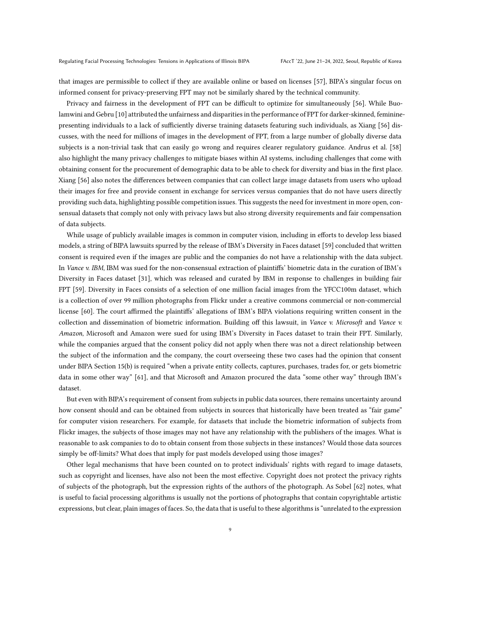that images are permissible to collect if they are available online or based on licenses [\[57\]](#page-15-8), BIPA's singular focus on informed consent for privacy-preserving FPT may not be similarly shared by the technical community.

Privacy and fairness in the development of FPT can be difficult to optimize for simultaneously [\[56\]](#page-15-9). While Buolamwini and Gebru [\[10\]](#page-13-9) attributed the unfairness and disparities in the performance of FPT for darker-skinned, femininepresenting individuals to a lack of sufficiently diverse training datasets featuring such individuals, as Xiang [\[56](#page-15-9)] discusses, with the need for millions of images in the development of FPT, from a large number of globally diverse data subjects is a non-trivial task that can easily go wrong and requires clearer regulatory guidance. Andrus et al. [\[58\]](#page-15-10) also highlight the many privacy challenges to mitigate biases within AI systems, including challenges that come with obtaining consent for the procurement of demographic data to be able to check for diversity and bias in the first place. Xiang [\[56\]](#page-15-9) also notes the differences between companies that can collect large image datasets from users who upload their images for free and provide consent in exchange for services versus companies that do not have users directly providing such data, highlighting possible competition issues. This suggests the need for investment in more open, consensual datasets that comply not only with privacy laws but also strong diversity requirements and fair compensation of data subjects.

While usage of publicly available images is common in computer vision, including in efforts to develop less biased models, a string of BIPA lawsuits spurred by the release of IBM's Diversity in Faces dataset [\[59](#page-15-11)] concluded that written consent is required even if the images are public and the companies do not have a relationship with the data subject. In Vance v. IBM, IBM was sued for the non-consensual extraction of plaintiffs' biometric data in the curation of IBM's Diversity in Faces dataset [\[31\]](#page-14-15), which was released and curated by IBM in response to challenges in building fair FPT [\[59](#page-15-11)]. Diversity in Faces consists of a selection of one million facial images from the YFCC100m dataset, which is a collection of over 99 million photographs from Flickr under a creative commons commercial or non-commercial license [\[60\]](#page-15-12). The court affirmed the plaintiffs' allegations of IBM's BIPA violations requiring written consent in the collection and dissemination of biometric information. Building off this lawsuit, in Vance v. Microsoft and Vance v. Amazon, Microsoft and Amazon were sued for using IBM's Diversity in Faces dataset to train their FPT. Similarly, while the companies argued that the consent policy did not apply when there was not a direct relationship between the subject of the information and the company, the court overseeing these two cases had the opinion that consent under BIPA Section 15(b) is required "when a private entity collects, captures, purchases, trades for, or gets biometric data in some other way" [\[61\]](#page-15-13), and that Microsoft and Amazon procured the data "some other way" through IBM's dataset.

But even with BIPA's requirement of consent from subjects in public data sources, there remains uncertainty around how consent should and can be obtained from subjects in sources that historically have been treated as "fair game" for computer vision researchers. For example, for datasets that include the biometric information of subjects from Flickr images, the subjects of those images may not have any relationship with the publishers of the images. What is reasonable to ask companies to do to obtain consent from those subjects in these instances? Would those data sources simply be off-limits? What does that imply for past models developed using those images?

Other legal mechanisms that have been counted on to protect individuals' rights with regard to image datasets, such as copyright and licenses, have also not been the most effective. Copyright does not protect the privacy rights of subjects of the photograph, but the expression rights of the authors of the photograph. As Sobel [\[62](#page-15-14)] notes, what is useful to facial processing algorithms is usually not the portions of photographs that contain copyrightable artistic expressions, but clear, plain images of faces. So, the data that is useful to these algorithms is "unrelated to the expression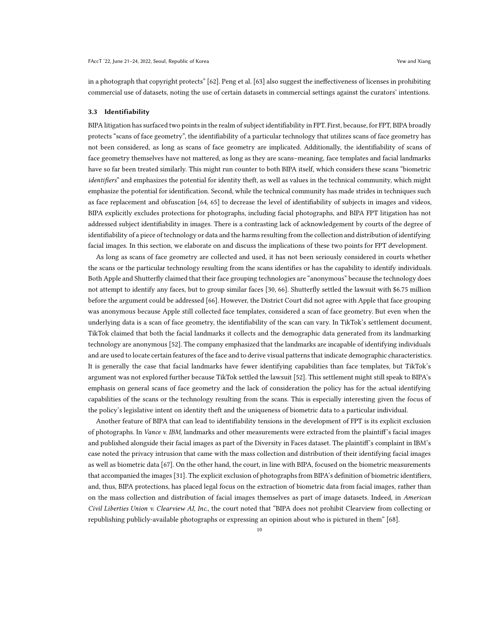in a photograph that copyright protects" [\[62](#page-15-14)]. Peng et al. [\[63](#page-15-15)] also suggest the ineffectiveness of licenses in prohibiting commercial use of datasets, noting the use of certain datasets in commercial settings against the curators' intentions.

#### <span id="page-9-0"></span>3.3 Identifiability

BIPA litigation has surfaced two points in the realm of subject identifiability in FPT. First, because, for FPT, BIPA broadly protects "scans of face geometry", the identifiability of a particular technology that utilizes scans of face geometry has not been considered, as long as scans of face geometry are implicated. Additionally, the identifiability of scans of face geometry themselves have not mattered, as long as they are scans–meaning, face templates and facial landmarks have so far been treated similarly. This might run counter to both BIPA itself, which considers these scans "biometric identifiers" and emphasizes the potential for identity theft, as well as values in the technical community, which might emphasize the potential for identification. Second, while the technical community has made strides in techniques such as face replacement and obfuscation [\[64,](#page-15-16) [65\]](#page-15-17) to decrease the level of identifiability of subjects in images and videos, BIPA explicitly excludes protections for photographs, including facial photographs, and BIPA FPT litigation has not addressed subject identifiability in images. There is a contrasting lack of acknowledgement by courts of the degree of identifiability of a piece of technology or data and the harms resulting from the collection and distribution of identifying facial images. In this section, we elaborate on and discuss the implications of these two points for FPT development.

As long as scans of face geometry are collected and used, it has not been seriously considered in courts whether the scans or the particular technology resulting from the scans identifies or has the capability to identify individuals. Both Apple and Shutterfly claimed that their face grouping technologies are "anonymous" because the technology does not attempt to identify any faces, but to group similar faces [\[30](#page-14-14), [66\]](#page-15-18). Shutterfly settled the lawsuit with \$6.75 million before the argument could be addressed [\[66\]](#page-15-18). However, the District Court did not agree with Apple that face grouping was anonymous because Apple still collected face templates, considered a scan of face geometry. But even when the underlying data is a scan of face geometry, the identifiability of the scan can vary. In TikTok's settlement document, TikTok claimed that both the facial landmarks it collects and the demographic data generated from its landmarking technology are anonymous [\[52\]](#page-15-5). The company emphasized that the landmarks are incapable of identifying individuals and are used to locate certain features of the face and to derive visual patterns that indicate demographic characteristics. It is generally the case that facial landmarks have fewer identifying capabilities than face templates, but TikTok's argument was not explored further because TikTok settled the lawsuit [\[52](#page-15-5)]. This settlement might still speak to BIPA's emphasis on general scans of face geometry and the lack of consideration the policy has for the actual identifying capabilities of the scans or the technology resulting from the scans. This is especially interesting given the focus of the policy's legislative intent on identity theft and the uniqueness of biometric data to a particular individual.

Another feature of BIPA that can lead to identifiability tensions in the development of FPT is its explicit exclusion of photographs. In Vance v. IBM, landmarks and other measurements were extracted from the plaintiff's facial images and published alongside their facial images as part of the Diversity in Faces dataset. The plaintiff's complaint in IBM's case noted the privacy intrusion that came with the mass collection and distribution of their identifying facial images as well as biometric data [\[67\]](#page-15-19). On the other hand, the court, in line with BIPA, focused on the biometric measurements that accompanied the images [\[31](#page-14-15)]. The explicit exclusion of photographs from BIPA's definition of biometric identifiers, and, thus, BIPA protections, has placed legal focus on the extraction of biometric data from facial images, rather than on the mass collection and distribution of facial images themselves as part of image datasets. Indeed, in American Civil Liberties Union v. Clearview AI, Inc., the court noted that "BIPA does not prohibit Clearview from collecting or republishing publicly-available photographs or expressing an opinion about who is pictured in them" [\[68\]](#page-15-20).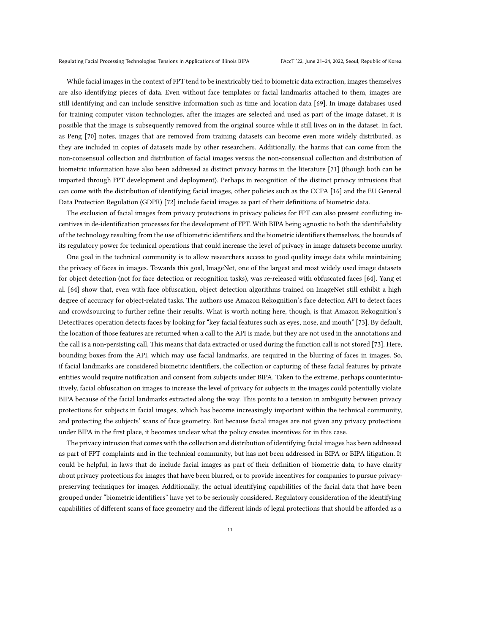While facial images in the context of FPT tend to be inextricably tied to biometric data extraction, images themselves are also identifying pieces of data. Even without face templates or facial landmarks attached to them, images are still identifying and can include sensitive information such as time and location data [\[69\]](#page-15-21). In image databases used for training computer vision technologies, after the images are selected and used as part of the image dataset, it is possible that the image is subsequently removed from the original source while it still lives on in the dataset. In fact, as Peng [\[70](#page-15-22)] notes, images that are removed from training datasets can become even more widely distributed, as they are included in copies of datasets made by other researchers. Additionally, the harms that can come from the non-consensual collection and distribution of facial images versus the non-consensual collection and distribution of biometric information have also been addressed as distinct privacy harms in the literature [\[71](#page-15-23)] (though both can be imparted through FPT development and deployment). Perhaps in recognition of the distinct privacy intrusions that can come with the distribution of identifying facial images, other policies such as the CCPA [\[16](#page-14-0)] and the EU General Data Protection Regulation (GDPR) [\[72\]](#page-15-24) include facial images as part of their definitions of biometric data.

The exclusion of facial images from privacy protections in privacy policies for FPT can also present conflicting incentives in de-identification processes for the development of FPT. With BIPA being agnostic to both the identifiability of the technology resulting from the use of biometric identifiers and the biometric identifiers themselves, the bounds of its regulatory power for technical operations that could increase the level of privacy in image datasets become murky.

One goal in the technical community is to allow researchers access to good quality image data while maintaining the privacy of faces in images. Towards this goal, ImageNet, one of the largest and most widely used image datasets for object detection (not for face detection or recognition tasks), was re-released with obfuscated faces [\[64\]](#page-15-16). Yang et al. [\[64](#page-15-16)] show that, even with face obfuscation, object detection algorithms trained on ImageNet still exhibit a high degree of accuracy for object-related tasks. The authors use Amazon Rekognition's face detection API to detect faces and crowdsourcing to further refine their results. What is worth noting here, though, is that Amazon Rekognition's DetectFaces operation detects faces by looking for "key facial features such as eyes, nose, and mouth" [\[73](#page-15-25)]. By default, the location of those features are returned when a call to the API is made, but they are not used in the annotations and the call is a non-persisting call, This means that data extracted or used during the function call is not stored [\[73\]](#page-15-25). Here, bounding boxes from the API, which may use facial landmarks, are required in the blurring of faces in images. So, if facial landmarks are considered biometric identifiers, the collection or capturing of these facial features by private entities would require notification and consent from subjects under BIPA. Taken to the extreme, perhaps counterintuitively, facial obfuscation on images to increase the level of privacy for subjects in the images could potentially violate BIPA because of the facial landmarks extracted along the way. This points to a tension in ambiguity between privacy protections for subjects in facial images, which has become increasingly important within the technical community, and protecting the subjects' scans of face geometry. But because facial images are not given any privacy protections under BIPA in the first place, it becomes unclear what the policy creates incentives for in this case.

The privacy intrusion that comes with the collection and distribution of identifying facial images has been addressed as part of FPT complaints and in the technical community, but has not been addressed in BIPA or BIPA litigation. It could be helpful, in laws that do include facial images as part of their definition of biometric data, to have clarity about privacy protections for images that have been blurred, or to provide incentives for companies to pursue privacypreserving techniques for images. Additionally, the actual identifying capabilities of the facial data that have been grouped under "biometric identifiers" have yet to be seriously considered. Regulatory consideration of the identifying capabilities of different scans of face geometry and the different kinds of legal protections that should be afforded as a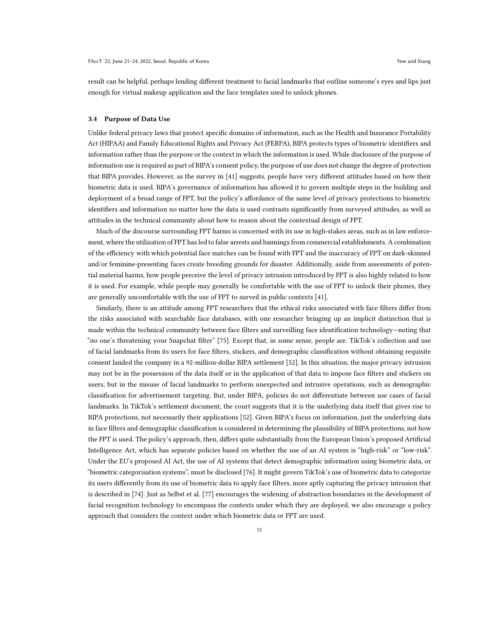result can be helpful, perhaps lending different treatment to facial landmarks that outline someone's eyes and lips just enough for virtual makeup application and the face templates used to unlock phones.

#### <span id="page-11-0"></span>3.4 Purpose of Data Use

Unlike federal privacy laws that protect specific domains of information, such as the Health and Insurance Portability Act (HIPAA) and Family Educational Rights and Privacy Act (FERPA), BIPA protects types of biometric identifiers and information rather than the purpose or the context in which the information is used. While disclosure of the purpose of information use is required as part of BIPA's consent policy, the purpose of use does not change the degree of protection that BIPA provides. However, as the survey in [\[41\]](#page-14-25) suggests, people have very different attitudes based on how their biometric data is used. BIPA's governance of information has allowed it to govern multiple steps in the building and deployment of a broad range of FPT, but the policy's affordance of the same level of privacy protections to biometric identifiers and information no matter how the data is used contrasts significantly from surveyed attitudes, as well as attitudes in the technical community about how to reason about the contextual design of FPT.

Much of the discourse surrounding FPT harms is concerned with its use in high-stakes areas, such as in law enforcement, where the utilization of FPT has led to false arrests and bannings from commercial establishments. A combination of the efficiency with which potential face matches can be found with FPT and the inaccuracy of FPT on dark-skinned and/or feminine-presenting faces create breeding grounds for disaster. Additionally, aside from assessments of potential material harms, how people perceive the level of privacy intrusion introduced by FPT is also highly related to how it is used. For example, while people may generally be comfortable with the use of FPT to unlock their phones, they are generally uncomfortable with the use of FPT to surveil in public contexts [\[41](#page-14-25)].

Similarly, there is an attitude among FPT researchers that the ethical risks associated with face filters differ from the risks associated with searchable face databases, with one researcher bringing up an implicit distinction that is made within the technical community between face filters and surveilling face identification technology—noting that "no one's threatening your Snapchat filter" [\[75\]](#page-15-26). Except that, in some sense, people are. TikTok's collection and use of facial landmarks from its users for face filters, stickers, and demographic classification without obtaining requisite consent landed the company in a 92-million-dollar BIPA settlement [\[52\]](#page-15-5). In this situation, the major privacy intrusion may not be in the possession of the data itself or in the application of that data to impose face filters and stickers on users, but in the misuse of facial landmarks to perform unexpected and intrusive operations, such as demographic classification for advertisement targeting. But, under BIPA, policies do not differentiate between use cases of facial landmarks. In TikTok's settlement document, the court suggests that it is the underlying data itself that gives rise to BIPA protections, not necessarily their applications [\[52\]](#page-15-5). Given BIPA's focus on information, just the underlying data in face filters and demographic classification is considered in determining the plausibility of BIPA protections, not how the FPT is used. The policy's approach, then, differs quite substantially from the European Union's proposed Artificial Intelligence Act, which has separate policies based on whether the use of an AI system is "high-risk" or "low-risk". Under the EU's proposed AI Act, the use of AI systems that detect demographic information using biometric data, or "biometric categorisation systems", must be disclosed [\[76\]](#page-15-27). It might govern TikTok's use of biometric data to categorize its users differently from its use of biometric data to apply face filters, more aptly capturing the privacy intrusion that is described in [\[74](#page-15-0)]. Just as Selbst et al. [\[77](#page-15-28)] encourages the widening of abstraction boundaries in the development of facial recognition technology to encompass the contexts under which they are deployed, we also encourage a policy approach that considers the context under which biometric data or FPT are used.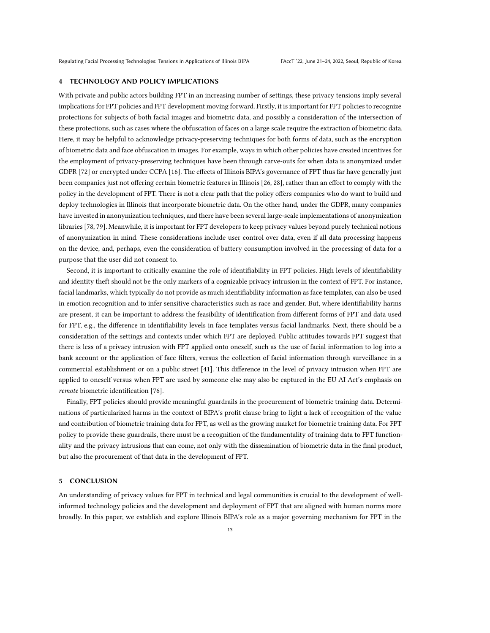### 4 TECHNOLOGY AND POLICY IMPLICATIONS

With private and public actors building FPT in an increasing number of settings, these privacy tensions imply several implications for FPT policies and FPT development moving forward. Firstly, it is important for FPT policies to recognize protections for subjects of both facial images and biometric data, and possibly a consideration of the intersection of these protections, such as cases where the obfuscation of faces on a large scale require the extraction of biometric data. Here, it may be helpful to acknowledge privacy-preserving techniques for both forms of data, such as the encryption of biometric data and face obfuscation in images. For example, ways in which other policies have created incentives for the employment of privacy-preserving techniques have been through carve-outs for when data is anonymized under GDPR [\[72\]](#page-15-24) or encrypted under CCPA [\[16](#page-14-0)]. The effects of Illinois BIPA's governance of FPT thus far have generally just been companies just not offering certain biometric features in Illinois [\[26,](#page-14-10) [28](#page-14-12)], rather than an effort to comply with the policy in the development of FPT. There is not a clear path that the policy offers companies who do want to build and deploy technologies in Illinois that incorporate biometric data. On the other hand, under the GDPR, many companies have invested in anonymization techniques, and there have been several large-scale implementations of anonymization libraries [\[78,](#page-16-1) [79\]](#page-16-2). Meanwhile, it is important for FPT developers to keep privacy values beyond purely technical notions of anonymization in mind. These considerations include user control over data, even if all data processing happens on the device, and, perhaps, even the consideration of battery consumption involved in the processing of data for a purpose that the user did not consent to.

Second, it is important to critically examine the role of identifiability in FPT policies. High levels of identifiability and identity theft should not be the only markers of a cognizable privacy intrusion in the context of FPT. For instance, facial landmarks, which typically do not provide as much identifiability information as face templates, can also be used in emotion recognition and to infer sensitive characteristics such as race and gender. But, where identifiability harms are present, it can be important to address the feasibility of identification from different forms of FPT and data used for FPT, e.g., the difference in identifiability levels in face templates versus facial landmarks. Next, there should be a consideration of the settings and contexts under which FPT are deployed. Public attitudes towards FPT suggest that there is less of a privacy intrusion with FPT applied onto oneself, such as the use of facial information to log into a bank account or the application of face filters, versus the collection of facial information through surveillance in a commercial establishment or on a public street [\[41\]](#page-14-25). This difference in the level of privacy intrusion when FPT are applied to oneself versus when FPT are used by someone else may also be captured in the EU AI Act's emphasis on remote biometric identification [\[76\]](#page-15-27).

Finally, FPT policies should provide meaningful guardrails in the procurement of biometric training data. Determinations of particularized harms in the context of BIPA's profit clause bring to light a lack of recognition of the value and contribution of biometric training data for FPT, as well as the growing market for biometric training data. For FPT policy to provide these guardrails, there must be a recognition of the fundamentality of training data to FPT functionality and the privacy intrusions that can come, not only with the dissemination of biometric data in the final product, but also the procurement of that data in the development of FPT.

## 5 CONCLUSION

An understanding of privacy values for FPT in technical and legal communities is crucial to the development of wellinformed technology policies and the development and deployment of FPT that are aligned with human norms more broadly. In this paper, we establish and explore Illinois BIPA's role as a major governing mechanism for FPT in the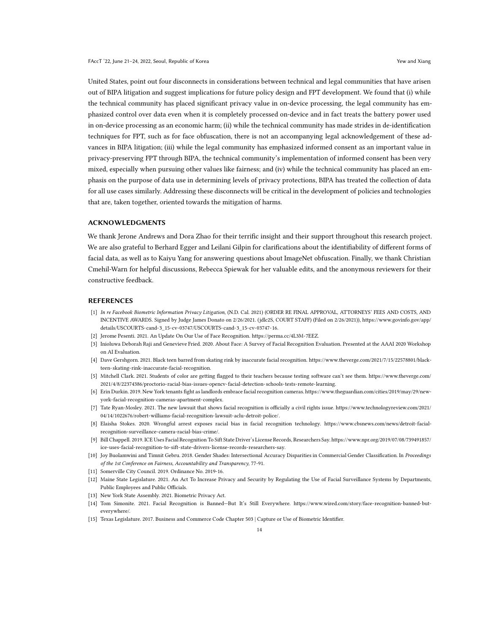United States, point out four disconnects in considerations between technical and legal communities that have arisen out of BIPA litigation and suggest implications for future policy design and FPT development. We found that (i) while the technical community has placed significant privacy value in on-device processing, the legal community has emphasized control over data even when it is completely processed on-device and in fact treats the battery power used in on-device processing as an economic harm; (ii) while the technical community has made strides in de-identification techniques for FPT, such as for face obfuscation, there is not an accompanying legal acknowledgement of these advances in BIPA litigation; (iii) while the legal community has emphasized informed consent as an important value in privacy-preserving FPT through BIPA, the technical community's implementation of informed consent has been very mixed, especially when pursuing other values like fairness; and (iv) while the technical community has placed an emphasis on the purpose of data use in determining levels of privacy protections, BIPA has treated the collection of data for all use cases similarly. Addressing these disconnects will be critical in the development of policies and technologies that are, taken together, oriented towards the mitigation of harms.

## ACKNOWLEDGMENTS

We thank Jerone Andrews and Dora Zhao for their terrific insight and their support throughout this research project. We are also grateful to Berhard Egger and Leilani Gilpin for clarifications about the identifiability of different forms of facial data, as well as to Kaiyu Yang for answering questions about ImageNet obfuscation. Finally, we thank Christian Cmehil-Warn for helpful discussions, Rebecca Spiewak for her valuable edits, and the anonymous reviewers for their constructive feedback.

#### **REFERENCES**

- <span id="page-13-0"></span>[1] In re Facebook Biometric Information Privacy Litigation, (N.D. Cal. 2021) (ORDER RE FINAL APPROVAL, ATTORNEYS' FEES AND COSTS, AND INCENTIVE AWARDS. Signed by Judge James Donato on 2/26/2021. (jdlc2S, COURT STAFF) (Filed on 2/26/2021)), [https://www.govinfo.gov/app/](https://www.govinfo.gov/app/details/USCOURTS-cand-3_15-cv-03747/USCOURTS-cand-3_15-cv-03747-16) [details/USCOURTS-cand-3\\_15-cv-03747/USCOURTS-cand-3\\_15-cv-03747-16.](https://www.govinfo.gov/app/details/USCOURTS-cand-3_15-cv-03747/USCOURTS-cand-3_15-cv-03747-16)
- <span id="page-13-1"></span>[2] Jerome Pesenti. 2021. An Update On Our Use of Face Recognition. [https://perma.cc/4L3M-7EEZ.](https://perma.cc/4L3M-7EEZ)
- <span id="page-13-2"></span>[3] Inioluwa Deborah Raji and Genevieve Fried. 2020. About Face: A Survey of Facial Recognition Evaluation. Presented at the AAAI 2020 Workshop on AI Evaluation.
- <span id="page-13-3"></span>[4] Dave Gershgorn. 2021. Black teen barred from skating rink by inaccurate facial recognition. [https://www.theverge.com/2021/7/15/22578801/black](https://www.theverge.com/2021/7/15/22578801/black-teen-skating-rink-inaccurate-facial-recognition)[teen-skating-rink-inaccurate-facial-recognition.](https://www.theverge.com/2021/7/15/22578801/black-teen-skating-rink-inaccurate-facial-recognition)
- <span id="page-13-4"></span>[5] Mitchell Clark. 2021. Students of color are getting flagged to their teachers because testing software can't see them. [https://www.theverge.com/](https://www.theverge.com/2021/4/8/22374386/proctorio-racial-bias-issues-opencv-facial-detection-schools-tests-remote-learning) [2021/4/8/22374386/proctorio-racial-bias-issues-opencv- facial-detection- schools-tests-remote-learning.](https://www.theverge.com/2021/4/8/22374386/proctorio-racial-bias-issues-opencv-facial-detection-schools-tests-remote-learning)
- <span id="page-13-5"></span>[6] Erin Durkin. 2019. New York tenants fight as landlords embrace facial recognition cameras[. https://www.theguardian.com/cities/2019/may/29/new](https://www.theguardian.com/cities/2019/may/29/new-york-facial-recognition-cameras-apartment-complex)[york-facial-recognition-cameras-apartment-complex.](https://www.theguardian.com/cities/2019/may/29/new-york-facial-recognition-cameras-apartment-complex)
- <span id="page-13-6"></span>[7] Tate Ryan-Mosley. 2021. The new lawsuit that shows facial recognition is officially a civil rights issue. [https://www.technologyreview.com/2021/](https://www.technologyreview.com/2021/04/14/1022676/robert-williams-facial-recognition-lawsuit-aclu-detroit-police/) [04/14/1022676/robert-williams-facial-recognition-lawsuit-aclu-detroit-police/.](https://www.technologyreview.com/2021/04/14/1022676/robert-williams-facial-recognition-lawsuit-aclu-detroit-police/)
- <span id="page-13-7"></span>[8] Elaisha Stokes. 2020. Wrongful arrest exposes racial bias in facial recognition technology. [https://www.cbsnews.com/news/detroit-facial](https://www.cbsnews.com/news/detroit-facial-recognition-surveillance-camera-racial-bias-crime/)[recognition-surveillance-camera-racial-bias-crime/.](https://www.cbsnews.com/news/detroit-facial-recognition-surveillance-camera-racial-bias-crime/)
- <span id="page-13-8"></span>[9] Bill Chappell. 2019. ICE Uses Facial Recognition To Sift State Driver's License Records, Researchers Say[. https://www.npr.org/2019/07/08/739491857/](https://www.npr.org/2019/07/08/739491857/ice-uses-facial-recognition-to-sift-state-drivers-license-records-researchers-say) [ice-uses-facial-recognition- to-sift-state-drivers-license-records-researchers-say.](https://www.npr.org/2019/07/08/739491857/ice-uses-facial-recognition-to-sift-state-drivers-license-records-researchers-say)
- <span id="page-13-9"></span>[10] Joy Buolamwini and Timnit Gebru. 2018. Gender Shades: Intersectional Accuracy Disparities in Commercial Gender Classification. In Proceedings of the 1st Conference on Fairness, Accountability and Transparency, 77-91.
- <span id="page-13-10"></span>[11] Somerville City Council. 2019. Ordinance No. 2019-16.
- <span id="page-13-11"></span>[12] Maine State Legislature. 2021. An Act To Increase Privacy and Security by Regulating the Use of Facial Surveillance Systems by Departments, Public Employees and Public Officials.
- <span id="page-13-12"></span>[13] New York State Assembly. 2021. Biometric Privacy Act.
- <span id="page-13-13"></span>[14] Tom Simonite. 2021. Facial Recognition is Banned—But It's Still Everywhere. [https://www.wired.com/story/face-recognition-banned-but](https://www.wired.com/story/face-recognition-banned-but-everywhere/)[everywhere/.](https://www.wired.com/story/face-recognition-banned-but-everywhere/)
- <span id="page-13-14"></span>[15] Texas Legislature. 2017. Business and Commerce Code Chapter 503 | Capture or Use of Biometric Identifier.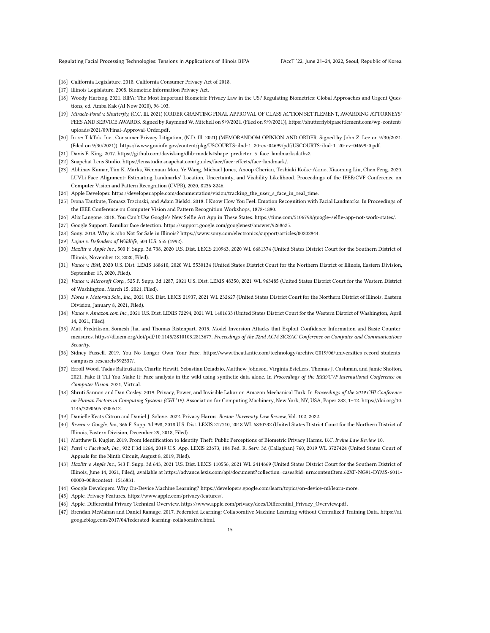Regulating Facial Processing Technologies: Tensions in Applications of Illinois BIPA FAccT '22, June 21-24, 2022, Seoul, Republic of Korea

- <span id="page-14-0"></span>[16] California Legislature. 2018. California Consumer Privacy Act of 2018.
- <span id="page-14-1"></span>[17] Illinois Legislature. 2008. Biometric Information Privacy Act.
- <span id="page-14-2"></span>[18] Woody Hartzog. 2021. BIPA: The Most Important Biometric Privacy Law in the US? Regulating Biometrics: Global Approaches and Urgent Questions, ed. Amba Kak (AI Now 2020), 96-103.
- <span id="page-14-3"></span>[19] Miracle-Pond v. Shutterfly, (C.C. Ill. 2021) (ORDER GRANTING FINAL APPROVAL OF CLASS ACTION SETTLEMENT, AWARDING ATTORNEYS' FEES AND SERVICE AWARDS. Signed by Raymond W. Mitchell on 9/9/2021. (Filed on 9/9/2021)), [https://shutterflybipasettlement.com/wp-content/](https://shutterflybipasettlement.com/wp-content/uploads/2021/09/Final-Approval-Order.pdf) [uploads/2021/09/Final-Approval-Order.pdf.](https://shutterflybipasettlement.com/wp-content/uploads/2021/09/Final-Approval-Order.pdf)
- <span id="page-14-4"></span>[20] In re: TikTok, Inc., Consumer Privacy Litigation, (N.D. Ill. 2021) (MEMORANDOM OPINION AND ORDER. Signed by John Z. Lee on 9/30/2021. (Filed on 9/30/2021)), [https://www.govinfo.gov/content/pkg/USCOURTS-ilnd-1\\_20-cv-04699/pdf/USCOURTS-ilnd-1\\_20-cv-04699-0.pdf.](https://www.govinfo.gov/content/pkg/USCOURTS-ilnd-1_20-cv-04699/pdf/USCOURTS-ilnd-1_20-cv-04699-0.pdf)
- <span id="page-14-5"></span>[21] Davis E. King. 2017. [https://github.com/davisking/dlib-models#shape\\_predictor\\_5\\_face\\_landmarksdatbz2.](https://github.com/davisking/dlib-models#shape_predictor_5_face_landmarksdatbz2)
- <span id="page-14-6"></span>[22] Snapchat Lens Studio. [https://lensstudio.snapchat.com/guides/face/face-effects/face-landmark/.](https://lensstudio.snapchat.com/guides/face/face-effects/face-landmark/)
- <span id="page-14-7"></span>[23] Abhinav Kumar, Tim K. Marks, Wenxuan Mou, Ye Wang, Michael Jones, Anoop Cherian, Toshiaki Koike-Akino, Xiaoming Liu, Chen Feng. 2020. LUVLi Face Alignment: Estimating Landmarks' Location, Uncertainty, and Visibility Likelihood. Proceedings of the IEEE/CVF Conference on Computer Vision and Pattern Recognition (CVPR), 2020, 8236-8246.
- <span id="page-14-8"></span>[24] Apple Developer. [https://developer.apple.com/documentation/vision/tracking\\_the\\_user\\_s\\_face\\_in\\_real\\_time.](https://developer.apple.com/documentation/vision/tracking_the_user_s_face_in_real_time)
- <span id="page-14-9"></span>[25] Ivona Tautkute, Tomasz Trzcinski, and Adam Bielski. 2018. I Know How You Feel: Emotion Recognition with Facial Landmarks. In Proceedings of the IEEE Conference on Computer Vision and Pattern Recognition Workshops, 1878-1880.
- <span id="page-14-10"></span>[26] Alix Langone. 2018. You Can't Use Google's New Selfie Art App in These States. [https://time.com/5106798/google-selfie-app-not-work-states/.](https://time.com/5106798/google-selfie-app-not-work-states/)
- <span id="page-14-11"></span>[27] Google Support. Familiar face detection. [https://support.google.com/googlenest/answer/9268625.](https://support.google.com/googlenest/answer/9268625)
- <span id="page-14-12"></span>[28] Sony. 2018. Why is aibo Not for Sale in Illinois? [https://www.sony.com/electronics/support/articles/00202844.](https://www.sony.com/electronics/support/articles/00202844)
- <span id="page-14-13"></span>[29] Lujan v. Defenders of Wildlife, 504 U.S. 555 (1992).
- <span id="page-14-14"></span>[30] Hazlitt v. Apple Inc., 500 F. Supp. 3d 738, 2020 U.S. Dist. LEXIS 210963, 2020 WL 6681374 (United States District Court for the Southern District of Illinois, November 12, 2020, Filed).
- <span id="page-14-15"></span>[31] Vance v. IBM, 2020 U.S. Dist. LEXIS 168610, 2020 WL 5530134 (United States District Court for the Northern District of Illinois, Eastern Division, September 15, 2020, Filed).
- <span id="page-14-16"></span>[32] Vance v. Microsoft Corp., 525 F. Supp. 3d 1287, 2021 U.S. Dist. LEXIS 48350, 2021 WL 963485 (United States District Court for the Western District of Washington, March 15, 2021, Filed).
- <span id="page-14-18"></span>[33] Flores v. Motorola Sols., Inc., 2021 U.S. Dist. LEXIS 21937, 2021 WL 232627 (United States District Court for the Northern District of Illinois, Eastern Division, January 8, 2021, Filed).
- <span id="page-14-17"></span>[34] Vance v. Amazon.com Inc., 2021 U.S. Dist. LEXIS 72294, 2021 WL 1401633 (United States District Court for the Western District of Washington, April 14, 2021, Filed).
- <span id="page-14-19"></span>[35] Matt Fredrikson, Somesh Jha, and Thomas Ristenpart. 2015. Model Inversion Attacks that Exploit Confidence Information and Basic Countermeasures. [https://dl.acm.org/doi/pdf/10.1145/2810103.2813677.](https://dl.acm.org/doi/pdf/10.1145/2810103.2813677) Proceedings of the 22nd ACM SIGSAC Conference on Computer and Communications Security.
- <span id="page-14-20"></span>[36] Sidney Fussell. 2019. You No Longer Own Your Face. [https://www.theatlantic.com/technology/archive/2019/06/universities-record-students](https://www.theatlantic.com/technology/archive/2019/06/universities-record-students-campuses-research/592537/)[campuses-research/592537/.](https://www.theatlantic.com/technology/archive/2019/06/universities-record-students-campuses-research/592537/)
- <span id="page-14-21"></span>[37] Erroll Wood, Tadas Baltrušaitis, Charlie Hewitt, Sebastian Dziadzio, Matthew Johnson, Virginia Estellers, Thomas J. Cashman, and Jamie Shotton. 2021. Fake It Till You Make It: Face analysis in the wild using synthetic data alone. In Proceedings of the IEEE/CVF International Conference on Computer Vision. 2021, Virtual.
- <span id="page-14-22"></span>[38] Shruti Sannon and Dan Cosley. 2019. Privacy, Power, and Invisible Labor on Amazon Mechanical Turk. In Proceedings of the 2019 CHI Conference on Human Factors in Computing Systems (CHI '19). Association for Computing Machinery, New York, NY, USA, Paper 282, 1–12. [https://doi.org/10.](https://doi.org/10.1145/3290605.3300512) [1145/3290605.3300512.](https://doi.org/10.1145/3290605.3300512)
- <span id="page-14-23"></span>[39] Danielle Keats Citron and Daniel J. Solove. 2022. Privacy Harms. Boston University Law Review, Vol. 102, 2022.
- <span id="page-14-24"></span>[40] Rivera v. Google, Inc., 366 F. Supp. 3d 998, 2018 U.S. Dist. LEXIS 217710, 2018 WL 6830332 (United States District Court for the Northern District of Illinois, Eastern Division, December 29, 2018, Filed).
- <span id="page-14-25"></span>[41] Matthew B. Kugler. 2019. From Identification to Identity Theft: Public Perceptions of Biometric Privacy Harms. U.C. Irvine Law Review 10.
- <span id="page-14-26"></span>[42] Patel v. Facebook, Inc., 932 F.3d 1264, 2019 U.S. App. LEXIS 23673, 104 Fed. R. Serv. 3d (Callaghan) 760, 2019 WL 3727424 (United States Court of Appeals for the Ninth Circuit, August 8, 2019, Filed).
- <span id="page-14-29"></span>[43] Hazlitt v. Apple Inc., 543 F. Supp. 3d 643, 2021 U.S. Dist. LEXIS 110556, 2021 WL 2414669 (United States District Court for the Southern District of Illinois, June 14, 2021, Filed), available at [https://advance.lexis.com/api/document?collection=cases&id=urn:contentItem:62XF-NG91-DYMS-6011-](https://advance.lexis.com/api/document?collection=cases&id=urn:contentItem:62XF-NG91-DYMS-6011-00000-00&context=1516831) [00000-00&context=1516831.](https://advance.lexis.com/api/document?collection=cases&id=urn:contentItem:62XF-NG91-DYMS-6011-00000-00&context=1516831)
- <span id="page-14-27"></span>[44] Google Developers. Why On-Device Machine Learning? [https://developers.google.com/learn/topics/on-device-ml/learn-more.](https://developers.google.com/learn/topics/on-device-ml/learn-more)
- <span id="page-14-28"></span>[45] Apple. Privacy Features. [https://www.apple.com/privacy/features/.](https://www.apple.com/privacy/features/)
- <span id="page-14-30"></span>[46] Apple. Differential Privacy Technical Overview. [https://www.apple.com/privacy/docs/Differential\\_Privacy\\_Overview.pdf.](https://www.apple.com/privacy/docs/Differential_Privacy_Overview.pdf)
- <span id="page-14-31"></span>[47] Brendan McMahan and Daniel Ramage. 2017. Federated Learning: Collaborative Machine Learning without Centralized Training Data. [https://ai.](https://ai.googleblog.com/2017/04/federated-learning-collaborative.html) [googleblog.com/2017/04/federated-learning-collaborative.html.](https://ai.googleblog.com/2017/04/federated-learning-collaborative.html)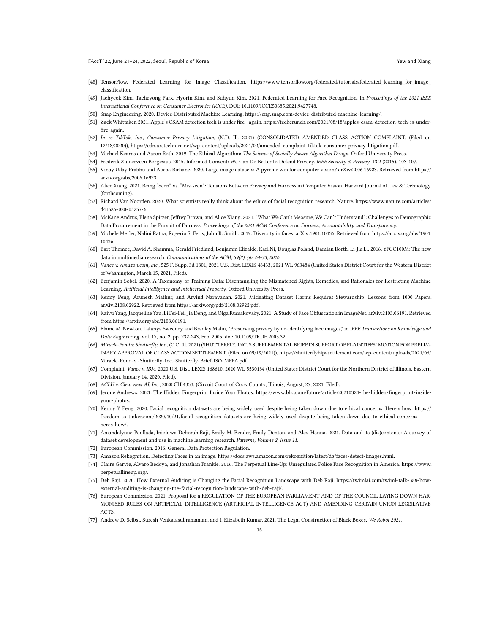- <span id="page-15-1"></span>[48] TensorFlow. Federated Learning for Image Classification. [https://www.tensorflow.org/federated/tutorials/federated\\_learning\\_for\\_image\\_](https://www.tensorflow.org/federated/tutorials/federated_learning_for_image_classification) [classification.](https://www.tensorflow.org/federated/tutorials/federated_learning_for_image_classification)
- <span id="page-15-2"></span>[49] Jaehyeok Kim, Taeheyong Park, Hyorin Kim, and Suhyun Kim. 2021. Federated Learning for Face Recognition. In Proceedings of the 2021 IEEE International Conference on Consumer Electronics (ICCE). DOI: [10.1109/ICCE50685.2021.9427748.](10.1109/ICCE50685.2021.9427748)
- <span id="page-15-3"></span>[50] Snap Engineering. 2020. Device-Distributed Machine Learning. [https://eng.snap.com/device-distributed-machine-learning/.](https://eng.snap.com/device-distributed-machine-learning/)
- <span id="page-15-4"></span>[51] Zack Whittaker. 2021. Apple's CSAM detection tech is under fire—again[. https://techcrunch.com/2021/08/18/apples-csam-detection- tech-is-under](https://techcrunch.com/2021/08/18/apples-csam-detection-tech-is-under-fire-again)[fire-again.](https://techcrunch.com/2021/08/18/apples-csam-detection-tech-is-under-fire-again)
- <span id="page-15-5"></span>[52] In re TikTok, Inc., Consumer Privacy Litigation, (N.D. Ill. 2021) (CONSOLIDATED AMENDED CLASS ACTION COMPLAINT, (Filed on 12/18/2020)), [https://cdn.arstechnica.net/wp-content/uploads/2021/02/amended-complaint- tiktok-consumer-privacy-litigation.pdf.](https://cdn.arstechnica.net/wp-content/uploads/2021/02/amended-complaint-tiktok-consumer-privacy-litigation.pdf)
- <span id="page-15-6"></span>[53] Michael Kearns and Aaron Roth. 2019. The Ethical Algorithm: The Science of Socially Aware Algorithm Design. Oxford University Press.
- [54] Frederik Zuiderveen Borgesius. 2015. Informed Consent: We Can Do Better to Defend Privacy. IEEE Security & Privacy, 13.2 (2015), 103-107.
- <span id="page-15-7"></span>[55] Vinay Uday Prabhu and Abeba Birhane. 2020. Large image datasets: A pyrrhic win for computer vision? arXiv:2006.16923. Retrieved from [https://](https://arxiv.org/abs/2006.16923) [arxiv.org/abs/2006.16923.](https://arxiv.org/abs/2006.16923)
- <span id="page-15-9"></span>[56] Alice Xiang. 2021. Being "Seen" vs. "Mis-seen": Tensions Between Privacy and Fairness in Computer Vision. Harvard Journal of Law & Technology (forthcoming).
- <span id="page-15-8"></span>[57] Richard Van Noorden. 2020. What scientists really think about the ethics of facial recognition research. Nature. [https://www.nature.com/articles/](https://www.nature.com/articles/d41586-020-03257-6) [d41586-020-03257-6.](https://www.nature.com/articles/d41586-020-03257-6)
- <span id="page-15-10"></span>[58] McKane Andrus, Elena Spitzer, Jeffrey Brown, and Alice Xiang. 2021. "What We Can't Measure, We Can't Understand": Challenges to Demographic Data Procurement in the Pursuit of Fairness. Proceedings of the 2021 ACM Conference on Fairness, Accountability, and Transparency.
- <span id="page-15-11"></span>[59] Michele Merler, Nalini Ratha, Rogerio S. Feris, John R. Smith. 2019. Diversity in faces. arXiv:1901.10436. Retrieved from [https://arxiv.org/abs/1901.](https://arxiv.org/abs/1901.10436) [10436.](https://arxiv.org/abs/1901.10436)
- <span id="page-15-12"></span>[60] Bart Thomee, David A. Shamma, Gerald Friedland, Benjamin Elizalde, Karl Ni, Douglas Poland, Damian Borth, Li-Jia Li. 2016. YFCC100M: The new data in multimedia research. Communications of the ACM, 59(2), pp. 64-73, 2016.
- <span id="page-15-13"></span>[61] Vance v. Amazon.com, Inc., 525 F. Supp. 3d 1301, 2021 U.S. Dist. LEXIS 48433, 2021 WL 963484 (United States District Court for the Western District of Washington, March 15, 2021, Filed).
- <span id="page-15-14"></span>[62] Benjamin Sobel. 2020. A Taxonomy of Training Data: Disentangling the Mismatched Rights, Remedies, and Rationales for Restricting Machine Learning. Artificial Intelligence and Intellectual Property. Oxford University Press.
- <span id="page-15-15"></span>[63] Kenny Peng, Arunesh Mathur, and Arvind Narayanan. 2021. Mitigating Dataset Harms Requires Stewardship: Lessons from 1000 Papers. arXiv:2108.02922. Retrieved from [https://arxiv.org/pdf/2108.02922.pdf.](https://arxiv.org/pdf/2108.02922.pdf)
- <span id="page-15-16"></span>[64] Kaiyu Yang, Jacqueline Yau, Li Fei-Fei, Jia Deng, and Olga Russakovsky. 2021. A Study of Face Obfuscation in ImageNet. arXiv:2103.06191. Retrieved from [https://arxiv.org/abs/2103.06191.](https://arxiv.org/abs/2103.06191)
- <span id="page-15-17"></span>[65] Elaine M. Newton, Latanya Sweeney and Bradley Malin, "Preserving privacy by de-identifying face images," in IEEE Transactions on Knowledge and Data Engineering, vol. 17, no. 2, pp. 232-243, Feb. 2005, doi: 10.1109/TKDE.2005.32.
- <span id="page-15-18"></span>[66] Miracle-Pond v. Shutterfly, Inc., (C.C. Ill. 2021) (SHUTTERFLY, INC.'S SUPPLEMENTAL BRIEF IN SUPPORT OF PLAINTIFFS' MOTION FOR PRELIM-INARY APPROVAL OF CLASS ACTION SETTLEMENT. (Filed on 05/19/2021)), [https://shutterflybipasettlement.com/wp-content/uploads/2021/06/](https://shutterflybipasettlement.com/wp-content/uploads/2021/06/Miracle-Pond-v.-Shutterfly-Inc.-Shutterfly-Brief-ISO-MFPA.pdf) [Miracle-Pond-v.-Shutterfly-Inc.-Shutterfly-Brief-ISO-MFPA.pdf.](https://shutterflybipasettlement.com/wp-content/uploads/2021/06/Miracle-Pond-v.-Shutterfly-Inc.-Shutterfly-Brief-ISO-MFPA.pdf)
- <span id="page-15-19"></span>[67] Complaint, Vance v. IBM, 2020 U.S. Dist. LEXIS 168610, 2020 WL 5530134 (United States District Court for the Northern District of Illinois, Eastern Division, January 14, 2020, Filed).
- <span id="page-15-20"></span>[68] ACLU v. Clearview AI, Inc., 2020 CH 4353, (Circuit Court of Cook County, Illinois, August, 27, 2021, Filed).
- <span id="page-15-21"></span>[69] Jerone Andrews. 2021. The Hidden Fingerprint Inside Your Photos. [https://www.bbc.com/future/article/20210324-the-hidden-fingerprint-inside](https://www.bbc.com/future/article/20210324-the-hidden-fingerprint-inside-your-photos)[your-photos.](https://www.bbc.com/future/article/20210324-the-hidden-fingerprint-inside-your-photos)
- <span id="page-15-22"></span>[70] Kenny Y Peng. 2020. Facial recognition datasets are being widely used despite being taken down due to ethical concerns. Here's how. [https://](https://freedom-to-tinker.com/2020/10/21/facial-recognition-datasets-are-being-widely-used-despite-being-taken-down-due-to-ethical-concerns-heres-how/) [freedom-to-tinker.com/2020/10/21/facial-recognition-datasets-are-being-widely-used-despite-being-taken-down-due-to-ethical-concerns](https://freedom-to-tinker.com/2020/10/21/facial-recognition-datasets-are-being-widely-used-despite-being-taken-down-due-to-ethical-concerns-heres-how/)[heres-how/.](https://freedom-to-tinker.com/2020/10/21/facial-recognition-datasets-are-being-widely-used-despite-being-taken-down-due-to-ethical-concerns-heres-how/)
- <span id="page-15-23"></span>[71] Amandalynne Paullada, Inioluwa Deborah Raji, Emily M. Bender, Emily Denton, and Alex Hanna. 2021. Data and its (dis)contents: A survey of dataset development and use in machine learning research. Patterns, Volume 2, Issue 11.
- <span id="page-15-24"></span>[72] European Commission. 2016. General Data Protection Regulation.
- <span id="page-15-25"></span>[73] Amazon Rekognition. Detecting Faces in an image. [https://docs.aws.amazon.com/rekognition/latest/dg/faces-detect-images.html.](https://docs.aws.amazon.com/rekognition/latest/dg/faces-detect-images.html)
- <span id="page-15-0"></span>[74] Claire Garvie, Alvaro Bedoya, and Jonathan Frankle. 2016. The Perpetual Line-Up: Unregulated Police Face Recognition in America. [https://www.](https://www.perpetuallineup.org/) [perpetuallineup.org/.](https://www.perpetuallineup.org/)
- <span id="page-15-26"></span>[75] Deb Raji. 2020. How External Auditing is Changing the Facial Recognition Landscape with Deb Raji. [https://twimlai.com/twiml- talk-388-how](https://twimlai.com/twiml-talk-388-how-external-auditing-is-changing-the-facial-recognition-landscape-with-deb-raji/)[external-auditing-is-changing-the- facial-recognition-landscape-with-deb-raji/.](https://twimlai.com/twiml-talk-388-how-external-auditing-is-changing-the-facial-recognition-landscape-with-deb-raji/)
- <span id="page-15-27"></span>[76] European Commission. 2021. Proposal for a REGULATION OF THE EUROPEAN PARLIAMENT AND OF THE COUNCIL LAYING DOWN HAR-MONISED RULES ON ARTIFICIAL INTELLIGENCE (ARTIFICIAL INTELLIGENCE ACT) AND AMENDING CERTAIN UNION LEGISLATIVE ACTS.
- <span id="page-15-28"></span>[77] Andrew D. Selbst, Suresh Venkatasubramanian, and I. Elizabeth Kumar. 2021. The Legal Construction of Black Boxes. We Robot 2021.